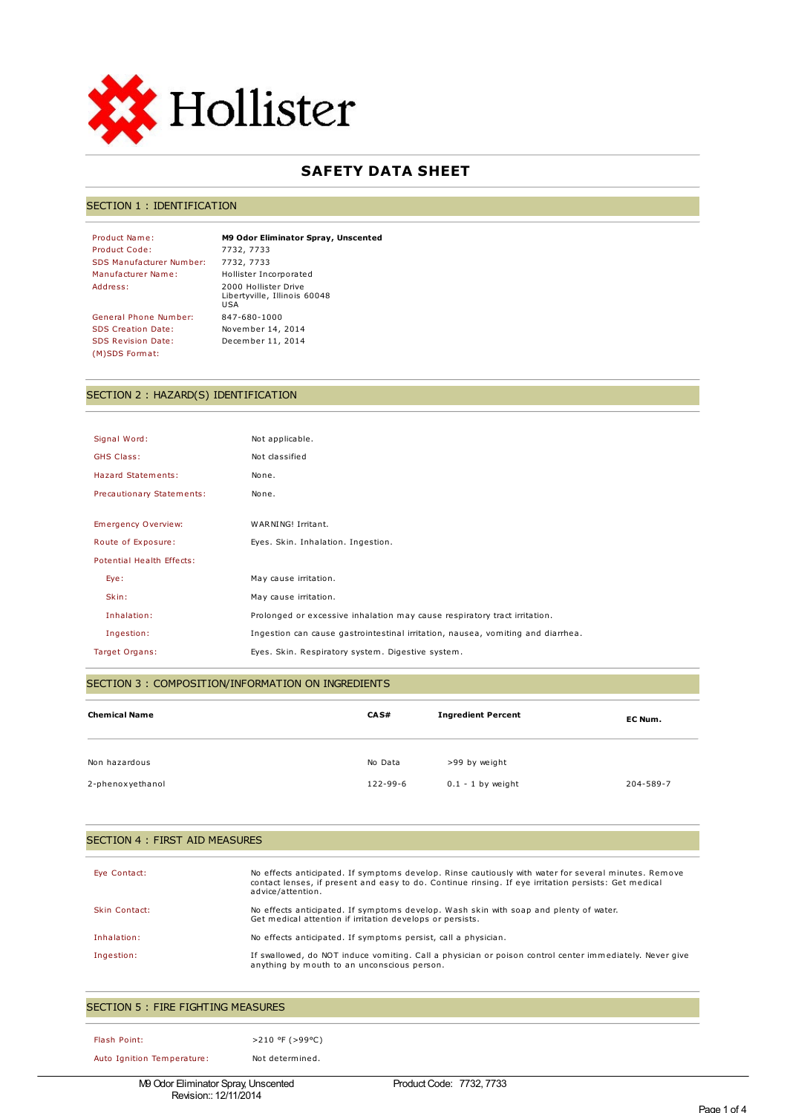

# **SAFETY DATA SHEET**

### SECTION 1 : IDENTIFICATION

Product Code: 7732, 7733 SDS Manufacturer Number: 7732, 7733 Manufacturer Name: Hollister Incorporated

General Phone Number: 847-680-1000 SDS Creation Date: November 14, 2014 SDS Revision Date: December 11, 2014 (M)SDS Format:

Product Name: **M9 Odor Eliminator Spray, Unscented** Address: 2000 Hollister Drive Libertyville, Illinois 60048 USA

## SECTION 2 : HAZARD(S) IDENTIFICATION

| Signal Word:              | Not applicable.                                                                 |
|---------------------------|---------------------------------------------------------------------------------|
| <b>GHS Class:</b>         | Not classified                                                                  |
| Hazard Statements:        | None.                                                                           |
| Precautionary Statements: | None.                                                                           |
|                           |                                                                                 |
| Emergency Overview:       | WARNING! Irritant.                                                              |
| Route of Exposure:        | Eyes. Skin. Inhalation. Ingestion.                                              |
| Potential Health Effects: |                                                                                 |
| Eye:                      | May cause irritation.                                                           |
| Skin:                     | May cause irritation.                                                           |
| Inhalation:               | Prolonged or excessive inhalation may cause respiratory tract irritation.       |
| Ingestion:                | Ingestion can cause gastrointestinal irritation, nausea, vomiting and diarrhea. |
| Target Organs:            | Eyes. Skin. Respiratory system. Digestive system.                               |

## SECTION 3 : COMPOSITION/INFORMATION ON INGREDIENTS

| <b>Chemical Name</b> | CA S#    | <b>Ingredient Percent</b> | EC Num.   |
|----------------------|----------|---------------------------|-----------|
| Non hazardous        | No Data  | >99 by weight             |           |
| 2-phenoxyethanol     | 122-99-6 | $0.1 - 1$ by weight       | 204-589-7 |

### SECTION 4 : FIRST AID MEASURES

| Eye Contact:  | No effects anticipated. If symptoms develop. Rinse cautiously with water for several minutes. Remove<br>contact lenses, if present and easy to do. Continue rinsing. If eye irritation persists: Get medical<br>advice/attention. |
|---------------|-----------------------------------------------------------------------------------------------------------------------------------------------------------------------------------------------------------------------------------|
| Skin Contact: | No effects anticipated. If symptoms develop. Wash skin with soap and plenty of water.<br>Get medical attention if irritation develops or persists.                                                                                |
| Inhalation:   | No effects anticipated. If symptoms persist, call a physician.                                                                                                                                                                    |
| Ingestion:    | If swallowed, do NOT induce vomiting. Call a physician or poison control center immediately. Never give<br>anything by mouth to an unconscious person.                                                                            |

| SECTION 5 : FIRE FIGHTING MEASURES |                 |  |  |  |
|------------------------------------|-----------------|--|--|--|
| Flash Point:                       | >210 °F (>99°C) |  |  |  |
| Auto Ignition Temperature:         | Not determined. |  |  |  |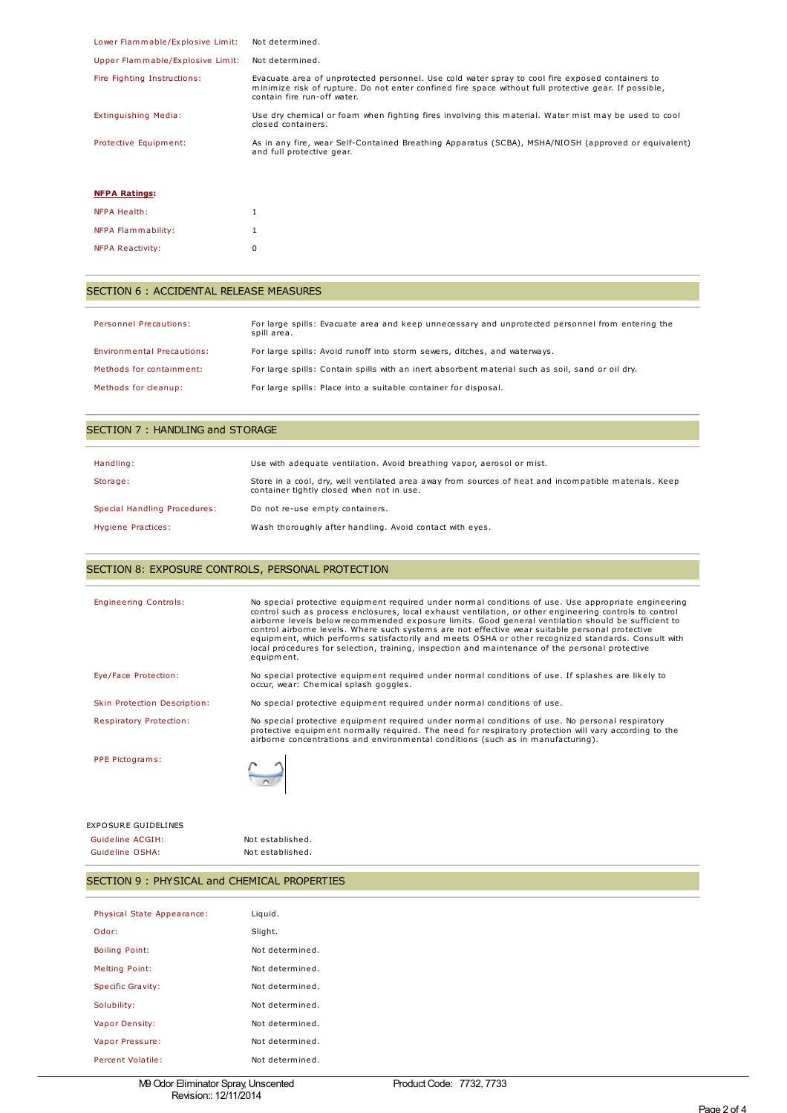| Lower Flammable/Explosive Limit: | Not determined.                                                                                                                                                                                                                         |
|----------------------------------|-----------------------------------------------------------------------------------------------------------------------------------------------------------------------------------------------------------------------------------------|
| Upper Flammable/Explosive Limit: | Not determined.                                                                                                                                                                                                                         |
| Fire Fighting Instructions:      | Evacuate area of unprotected personnel. Use cold water spray to cool fire exposed containers to<br>minimize risk of rupture. Do not enter confined fire space without full protective gear. If possible,<br>contain fire run-off water. |
| Extinguishing Media:             | Use dry chemical or foam when fighting fires involving this material. Water mist may be used to cool<br>closed containers.                                                                                                              |
| Protective Equipment:            | As in any fire, wear Self-Contained Breathing Apparatus (SCBA), MSHA/NIOSH (approved or equivalent)<br>and full protective gear.                                                                                                        |
|                                  |                                                                                                                                                                                                                                         |

#### **NFPA Ratings:**

| NFPA Health:            | 1 |
|-------------------------|---|
| NFPA Flammability:      | 1 |
| <b>NFPA Reactivity:</b> | n |

## SECTION 6 : ACCIDENTAL RELEASE MEASURES

| <b>Personnel Precautions:</b> | For large spills: Evacuate area and keep unnecessary and unprotected personnel from entering the<br>spill area. |
|-------------------------------|-----------------------------------------------------------------------------------------------------------------|
| Environmental Precautions:    | For large spills: Avoid runoff into storm sewers, ditches, and waterways.                                       |
| Methods for containment:      | For large spills: Contain spills with an inert absorbent material such as soil, sand or oil dry.                |
| Methods for cleanup:          | For large spills: Place into a suitable container for disposal.                                                 |

| SECTION 7: HANDLING and STORAGE |                                                                                                                                                    |  |  |
|---------------------------------|----------------------------------------------------------------------------------------------------------------------------------------------------|--|--|
| Handling:                       | Use with adequate ventilation. Avoid breathing vapor, aerosol or mist.                                                                             |  |  |
| Storage:                        | Store in a cool, dry, well ventilated area away from sources of heat and incompatible materials. Keep<br>container tightly closed when not in use. |  |  |
| Special Handling Procedures:    | Do not re-use empty containers.                                                                                                                    |  |  |
| Hygiene Practices:              | Wash thoroughly after handling. Avoid contact with eyes.                                                                                           |  |  |

# SECTION 8: EXPOSURE CONTROLS, PERSONAL PROTECTION

| <b>Engineering Controls:</b> | No special protective equipment required under normal conditions of use. Use appropriate engineering<br>control such as process enclosures, local exhaust ventilation, or other engineering controls to control<br>airborne levels below recommended exposure limits. Good general ventilation should be sufficient to<br>control airborne levels. Where such systems are not effective wear suitable personal protective<br>equipment, which performs satisfactorily and meets OSHA or other recognized standards. Consult with<br>local procedures for selection, training, inspection and maintenance of the personal protective<br>equipment. |
|------------------------------|---------------------------------------------------------------------------------------------------------------------------------------------------------------------------------------------------------------------------------------------------------------------------------------------------------------------------------------------------------------------------------------------------------------------------------------------------------------------------------------------------------------------------------------------------------------------------------------------------------------------------------------------------|
| Eye/Face Protection:         | No special protective equipment required under normal conditions of use. If splashes are likely to<br>occur, wear: Chemical splash goggles.                                                                                                                                                                                                                                                                                                                                                                                                                                                                                                       |
| Skin Protection Description: | No special protective equipment required under normal conditions of use.                                                                                                                                                                                                                                                                                                                                                                                                                                                                                                                                                                          |
| Respiratory Protection:      | No special protective equipment required under normal conditions of use. No personal respiratory<br>protective equipment normally required. The need for respiratory protection will vary according to the<br>airborne concentrations and environmental conditions (such as in manufacturing).                                                                                                                                                                                                                                                                                                                                                    |
| PPE Pictograms:              |                                                                                                                                                                                                                                                                                                                                                                                                                                                                                                                                                                                                                                                   |
| <b>EXPOSURE GUIDELINES</b>   |                                                                                                                                                                                                                                                                                                                                                                                                                                                                                                                                                                                                                                                   |

Guideline ACGIH: Not established. Guideline OSHA: Not established.

# SECTION 9 : PHYSICAL and CHEMICAL PROPERTIES

| Physical State Appearance: | Liquid.         |
|----------------------------|-----------------|
| Odor:                      | Slight.         |
| <b>Boiling Point:</b>      | Not determined. |
| <b>Melting Point:</b>      | Not determined. |
| Specific Gravity:          | Not determined. |
| Solubility:                | Not determined. |
| Vapor Density:             | Not determined. |
| Vapor Pressure:            | Not determined. |
| Percent Volatile:          | Not determined. |
|                            |                 |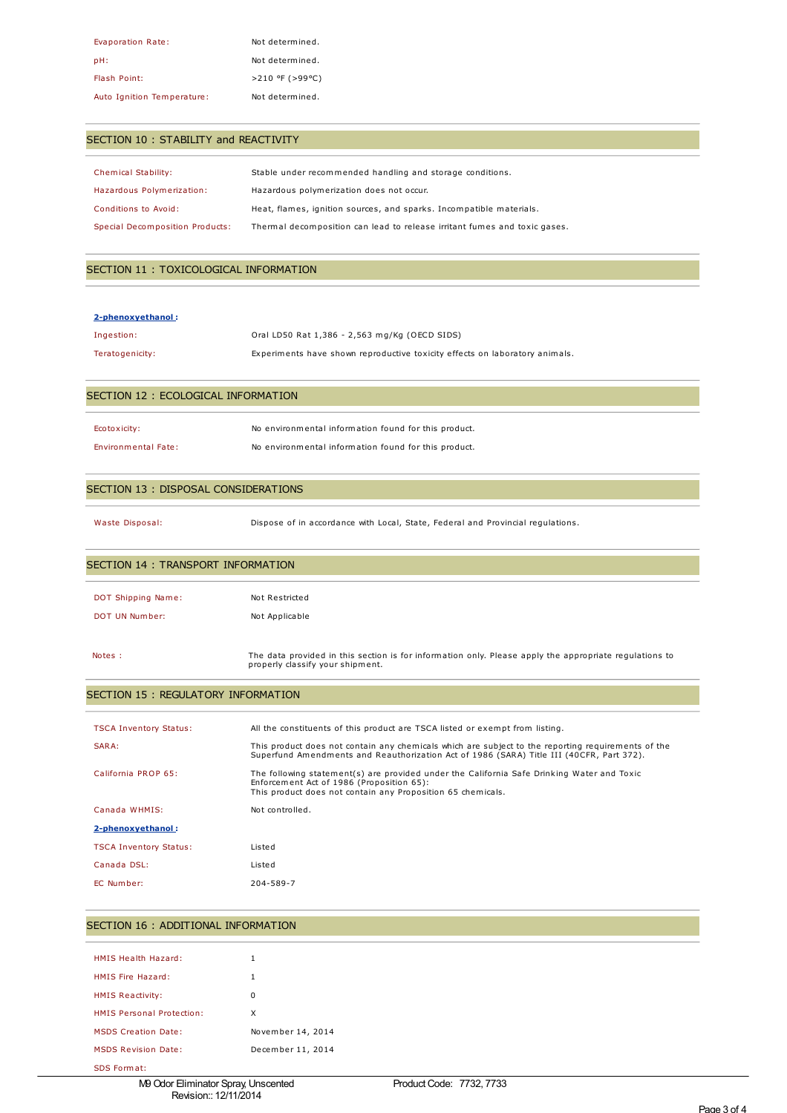| Evaporation Rate:          | Not determined.       |
|----------------------------|-----------------------|
| pH:                        | Not determined.       |
| Flash Point:               | $>210$ °F ( $>99$ °C) |
| Auto Ignition Temperature: | Not determined.       |

## SECTION 10 : STABILITY and REACTIVITY

| Chemical Stability:             | Stable under recommended handling and storage conditions.                 |
|---------------------------------|---------------------------------------------------------------------------|
| Hazardous Polymerization:       | Hazardous polymerization does not occur.                                  |
| Conditions to Avoid:            | Heat, flames, ignition sources, and sparks. Incompatible materials.       |
| Special Decomposition Products: | Thermal decomposition can lead to release irritant fumes and toxic gases. |

## SECTION 11 : TOXICOLOGICAL INFORMATION

#### **2-phenoxyethanol :**

| Ingestion:      | Oral LD50 Rat 1,386 - 2,563 mg/Kg (OECD SIDS)                               |
|-----------------|-----------------------------------------------------------------------------|
| Teratogenicity: | Experiments have shown reproductive toxicity effects on laboratory animals. |

## SECTION 12 : ECOLOGICAL INFORMATION

| Ecotoxicity:               | No environmental information found for this product. |
|----------------------------|------------------------------------------------------|
| <b>Environmental Fate:</b> | No environmental information found for this product. |

properly classify your shipment.

### SECTION 13 : DISPOSAL CONSIDERATIONS

Waste Disposal: Dispose of in accordance with Local, State, Federal and Provincial regulations.

| SECTION 14 : TRANSPORT INFORMATION |                                                                                                        |  |  |
|------------------------------------|--------------------------------------------------------------------------------------------------------|--|--|
|                                    |                                                                                                        |  |  |
| DOT Shipping Name:                 | Not Restricted                                                                                         |  |  |
| DOT UN Number:                     | Not Applicable                                                                                         |  |  |
|                                    |                                                                                                        |  |  |
| Notes :                            | The data provided in this section is for information only. Please apply the appropriate regulations to |  |  |

## SECTION 15 : REGULATORY INFORMATION

| <b>TSCA Inventory Status:</b> | All the constituents of this product are TSCA listed or exempt from listing.                                                                                                                           |
|-------------------------------|--------------------------------------------------------------------------------------------------------------------------------------------------------------------------------------------------------|
| SARA:                         | This product does not contain any chemicals which are subject to the reporting requirements of the<br>Superfund Amendments and Reauthorization Act of 1986 (SARA) Title III (40CFR, Part 372).         |
| California PROP 65:           | The following statement(s) are provided under the California Safe Drinking Water and Toxic<br>Enforcement Act of 1986 (Proposition 65):<br>This product does not contain any Proposition 65 chemicals. |
| Canada WHMIS:                 | Not controlled.                                                                                                                                                                                        |
| 2-phenoxyethanol:             |                                                                                                                                                                                                        |
| <b>TSCA Inventory Status:</b> | Listed                                                                                                                                                                                                 |
| Canada DSL:                   | Listed                                                                                                                                                                                                 |
| EC Number:                    | 204-589-7                                                                                                                                                                                              |
|                               |                                                                                                                                                                                                        |

## SECTION 16 : ADDITIONAL INFORMATION

| HMIS Health Hazard:        | 1                 |
|----------------------------|-------------------|
| HMIS Fire Hazard:          | 1                 |
| <b>HMIS Reactivity:</b>    | ŋ                 |
| HMIS Personal Protection:  | x                 |
| <b>MSDS Creation Date:</b> | November 14, 2014 |
| <b>MSDS Revision Date:</b> | December 11, 2014 |
|                            |                   |

SDS Format: